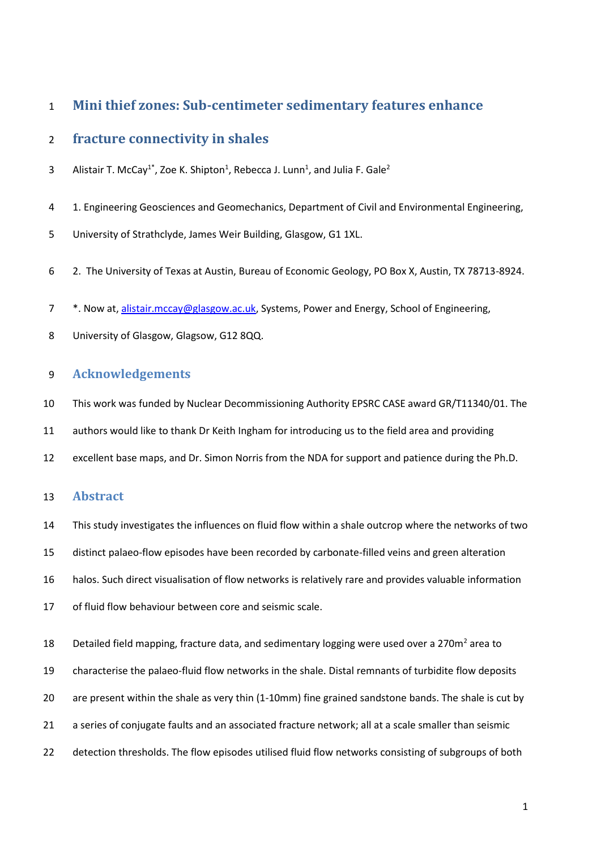# **Mini thief zones: Sub-centimeter sedimentary features enhance**

# **fracture connectivity in shales**

- 3 Alistair T. McCay<sup>1\*</sup>, Zoe K. Shipton<sup>1</sup>, Rebecca J. Lunn<sup>1</sup>, and Julia F. Gale<sup>2</sup>
- 4 1. Engineering Geosciences and Geomechanics, Department of Civil and Environmental Engineering,
- University of Strathclyde, James Weir Building, Glasgow, G1 1XL.
- 2. The University of Texas at Austin, Bureau of Economic Geology, PO Box X, Austin, TX 78713-8924.
- 7 \*. Now at, [alistair.mccay@glasgow.ac.uk,](mailto:alistair.mccay@glasgow.ac.uk) Systems, Power and Energy, School of Engineering,
- University of Glasgow, Glagsow, G12 8QQ.

# **Acknowledgements**

- This work was funded by Nuclear Decommissioning Authority EPSRC CASE award GR/T11340/01. The
- authors would like to thank Dr Keith Ingham for introducing us to the field area and providing
- excellent base maps, and Dr. Simon Norris from the NDA for support and patience during the Ph.D.

# **Abstract**

- This study investigates the influences on fluid flow within a shale outcrop where the networks of two
- distinct palaeo-flow episodes have been recorded by carbonate-filled veins and green alteration
- halos. Such direct visualisation of flow networks is relatively rare and provides valuable information
- of fluid flow behaviour between core and seismic scale.
- 18 Detailed field mapping, fracture data, and sedimentary logging were used over a 270m<sup>2</sup> area to
- characterise the palaeo-fluid flow networks in the shale. Distal remnants of turbidite flow deposits
- are present within the shale as very thin (1-10mm) fine grained sandstone bands. The shale is cut by
- a series of conjugate faults and an associated fracture network; all at a scale smaller than seismic
- detection thresholds. The flow episodes utilised fluid flow networks consisting of subgroups of both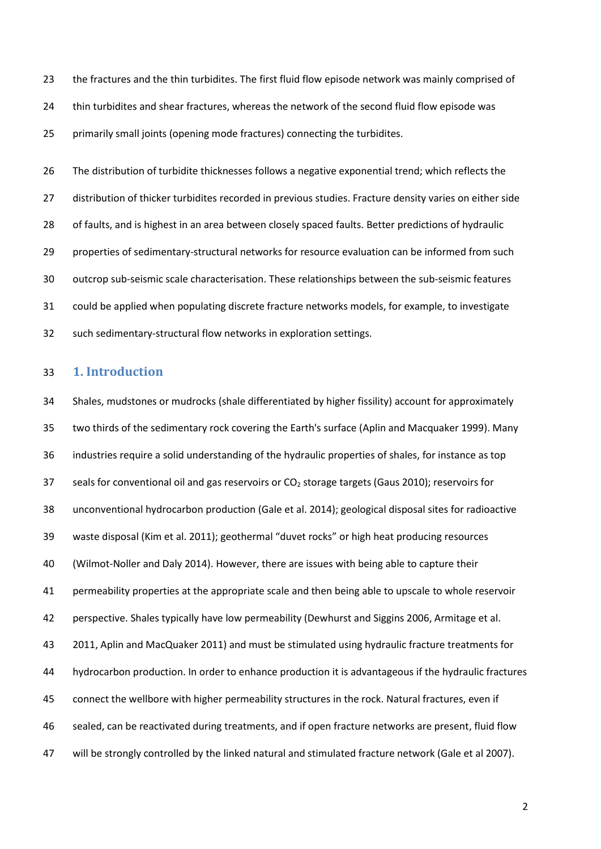the fractures and the thin turbidites. The first fluid flow episode network was mainly comprised of thin turbidites and shear fractures, whereas the network of the second fluid flow episode was primarily small joints (opening mode fractures) connecting the turbidites.

26 The distribution of turbidite thicknesses follows a negative exponential trend; which reflects the distribution of thicker turbidites recorded in previous studies. Fracture density varies on either side 28 of faults, and is highest in an area between closely spaced faults. Better predictions of hydraulic properties of sedimentary-structural networks for resource evaluation can be informed from such outcrop sub-seismic scale characterisation. These relationships between the sub-seismic features could be applied when populating discrete fracture networks models, for example, to investigate such sedimentary-structural flow networks in exploration settings.

# **1. Introduction**

 Shales, mudstones or mudrocks (shale differentiated by higher fissility) account for approximately two thirds of the sedimentary rock covering the Earth's surface (Aplin and Macquaker 1999). Many industries require a solid understanding of the hydraulic properties of shales, for instance as top 37 seals for conventional oil and gas reservoirs or CO<sub>2</sub> storage targets (Gaus 2010); reservoirs for unconventional hydrocarbon production (Gale et al. 2014); geological disposal sites for radioactive waste disposal (Kim et al. 2011); geothermal "duvet rocks" or high heat producing resources (Wilmot-Noller and Daly 2014). However, there are issues with being able to capture their permeability properties at the appropriate scale and then being able to upscale to whole reservoir perspective. Shales typically have low permeability (Dewhurst and Siggins 2006, Armitage et al. 2011, Aplin and MacQuaker 2011) and must be stimulated using hydraulic fracture treatments for hydrocarbon production. In order to enhance production it is advantageous if the hydraulic fractures connect the wellbore with higher permeability structures in the rock. Natural fractures, even if sealed, can be reactivated during treatments, and if open fracture networks are present, fluid flow will be strongly controlled by the linked natural and stimulated fracture network (Gale et al 2007).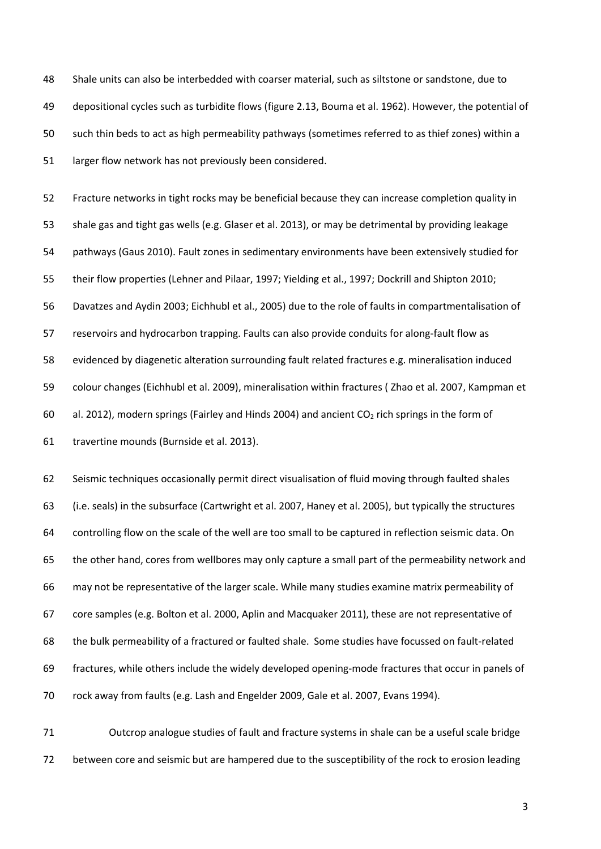Shale units can also be interbedded with coarser material, such as siltstone or sandstone, due to depositional cycles such as turbidite flows (figure 2.13, Bouma et al. 1962). However, the potential of such thin beds to act as high permeability pathways (sometimes referred to as thief zones) within a larger flow network has not previously been considered.

 Fracture networks in tight rocks may be beneficial because they can increase completion quality in shale gas and tight gas wells (e.g. Glaser et al. 2013), or may be detrimental by providing leakage pathways (Gaus 2010). Fault zones in sedimentary environments have been extensively studied for their flow properties (Lehner and Pilaar, 1997; Yielding et al., 1997; Dockrill and Shipton 2010; Davatzes and Aydin 2003; Eichhubl et al., 2005) due to the role of faults in compartmentalisation of reservoirs and hydrocarbon trapping. Faults can also provide conduits for along-fault flow as evidenced by diagenetic alteration surrounding fault related fractures e.g. mineralisation induced colour changes (Eichhubl et al. 2009), mineralisation within fractures ( Zhao et al. 2007, Kampman et 60 al. 2012), modern springs (Fairley and Hinds 2004) and ancient  $CO<sub>2</sub>$  rich springs in the form of travertine mounds (Burnside et al. 2013).

 Seismic techniques occasionally permit direct visualisation of fluid moving through faulted shales (i.e. seals) in the subsurface (Cartwright et al. 2007, Haney et al. 2005), but typically the structures controlling flow on the scale of the well are too small to be captured in reflection seismic data. On the other hand, cores from wellbores may only capture a small part of the permeability network and may not be representative of the larger scale. While many studies examine matrix permeability of core samples (e.g. Bolton et al. 2000, Aplin and Macquaker 2011), these are not representative of the bulk permeability of a fractured or faulted shale. Some studies have focussed on fault-related fractures, while others include the widely developed opening-mode fractures that occur in panels of rock away from faults (e.g. Lash and Engelder 2009, Gale et al. 2007, Evans 1994).

 Outcrop analogue studies of fault and fracture systems in shale can be a useful scale bridge between core and seismic but are hampered due to the susceptibility of the rock to erosion leading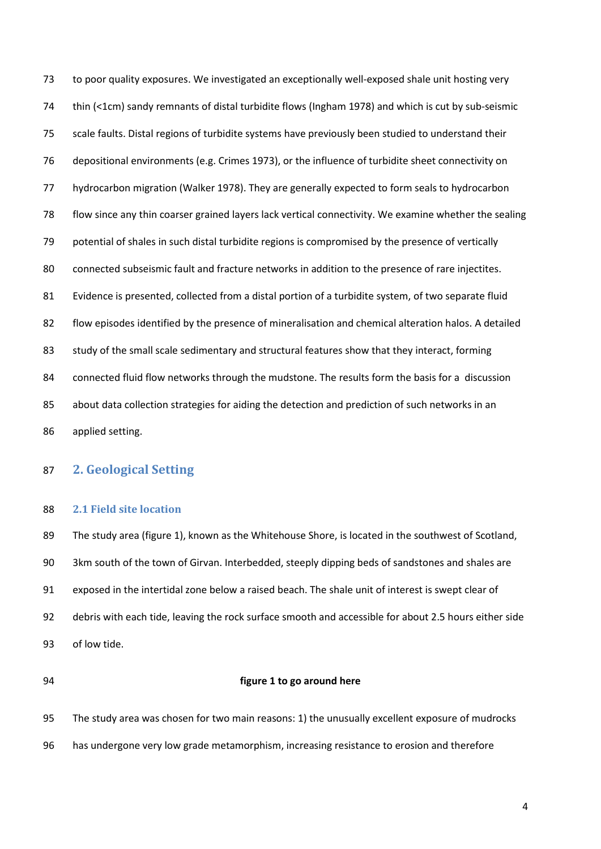to poor quality exposures. We investigated an exceptionally well-exposed shale unit hosting very thin (<1cm) sandy remnants of distal turbidite flows (Ingham 1978) and which is cut by sub-seismic scale faults. Distal regions of turbidite systems have previously been studied to understand their depositional environments (e.g. Crimes 1973), or the influence of turbidite sheet connectivity on hydrocarbon migration (Walker 1978). They are generally expected to form seals to hydrocarbon flow since any thin coarser grained layers lack vertical connectivity. We examine whether the sealing potential of shales in such distal turbidite regions is compromised by the presence of vertically connected subseismic fault and fracture networks in addition to the presence of rare injectites. Evidence is presented, collected from a distal portion of a turbidite system, of two separate fluid flow episodes identified by the presence of mineralisation and chemical alteration halos. A detailed 83 study of the small scale sedimentary and structural features show that they interact, forming connected fluid flow networks through the mudstone. The results form the basis for a discussion 85 about data collection strategies for aiding the detection and prediction of such networks in an applied setting.

# **2. Geological Setting**

## **2.1 Field site location**

 The study area (figure 1), known as the Whitehouse Shore, is located in the southwest of Scotland, 3km south of the town of Girvan. Interbedded, steeply dipping beds of sandstones and shales are exposed in the intertidal zone below a raised beach. The shale unit of interest is swept clear of debris with each tide, leaving the rock surface smooth and accessible for about 2.5 hours either side of low tide.

#### **figure 1 to go around here**

The study area was chosen for two main reasons: 1) the unusually excellent exposure of mudrocks

has undergone very low grade metamorphism, increasing resistance to erosion and therefore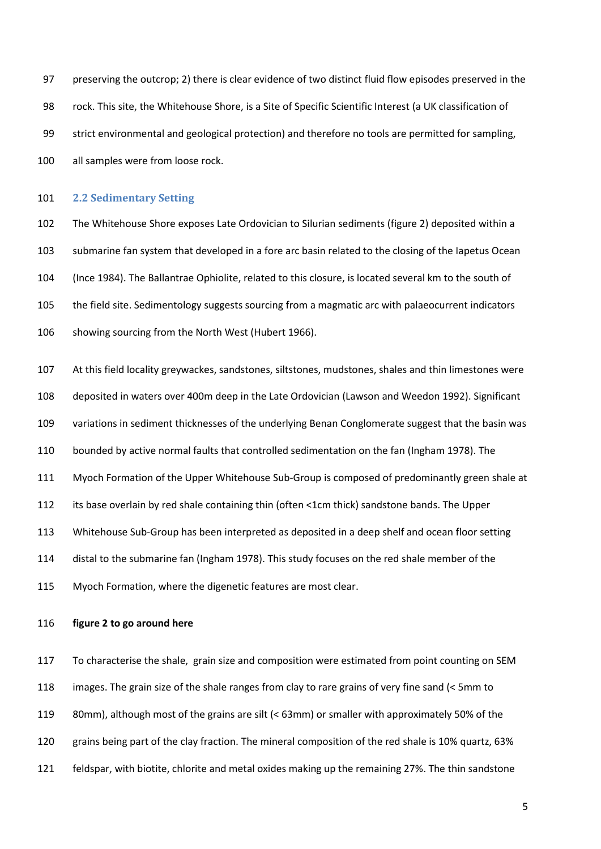preserving the outcrop; 2) there is clear evidence of two distinct fluid flow episodes preserved in the rock. This site, the Whitehouse Shore, is a Site of Specific Scientific Interest (a UK classification of strict environmental and geological protection) and therefore no tools are permitted for sampling, all samples were from loose rock.

## **2.2 Sedimentary Setting**

 The Whitehouse Shore exposes Late Ordovician to Silurian sediments (figure 2) deposited within a submarine fan system that developed in a fore arc basin related to the closing of the Iapetus Ocean (Ince 1984). The Ballantrae Ophiolite, related to this closure, is located several km to the south of the field site. Sedimentology suggests sourcing from a magmatic arc with palaeocurrent indicators 106 showing sourcing from the North West (Hubert 1966).

 At this field locality greywackes, sandstones, siltstones, mudstones, shales and thin limestones were deposited in waters over 400m deep in the Late Ordovician (Lawson and Weedon 1992). Significant variations in sediment thicknesses of the underlying Benan Conglomerate suggest that the basin was bounded by active normal faults that controlled sedimentation on the fan [\(Ingham 1978\)](#page-26-0). The Myoch Formation of the Upper Whitehouse Sub-Group is composed of predominantly green shale at its base overlain by red shale containing thin (often <1cm thick) sandstone bands. The Upper Whitehouse Sub-Group has been interpreted as deposited in a deep shelf and ocean floor setting distal to the submarine fan (Ingham 1978). This study focuses on the red shale member of the Myoch Formation, where the digenetic features are most clear.

## **figure 2 to go around here**

 To characterise the shale, grain size and composition were estimated from point counting on SEM images. The grain size of the shale ranges from clay to rare grains of very fine sand (< 5mm to 80mm), although most of the grains are silt (< 63mm) or smaller with approximately 50% of the grains being part of the clay fraction. The mineral composition of the red shale is 10% quartz, 63% feldspar, with biotite, chlorite and metal oxides making up the remaining 27%. The thin sandstone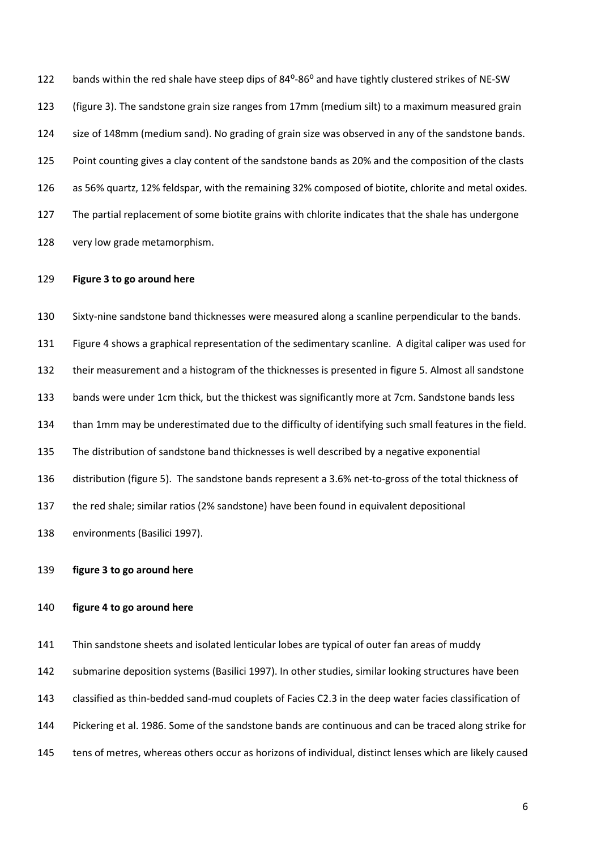122 bands within the red shale have steep dips of 84<sup>o</sup>-86<sup>o</sup> and have tightly clustered strikes of NE-SW (figure 3). The sandstone grain size ranges from 17mm (medium silt) to a maximum measured grain 124 size of 148mm (medium sand). No grading of grain size was observed in any of the sandstone bands. Point counting gives a clay content of the sandstone bands as 20% and the composition of the clasts as 56% quartz, 12% feldspar, with the remaining 32% composed of biotite, chlorite and metal oxides. The partial replacement of some biotite grains with chlorite indicates that the shale has undergone very low grade metamorphism.

#### **Figure 3 to go around here**

 Sixty-nine sandstone band thicknesses were measured along a scanline perpendicular to the bands. Figure 4 shows a graphical representation of the sedimentary scanline. A digital caliper was used for their measurement and a histogram of the thicknesses is presented in figure 5. Almost all sandstone bands were under 1cm thick, but the thickest was significantly more at 7cm. Sandstone bands less than 1mm may be underestimated due to the difficulty of identifying such small features in the field. The distribution of sandstone band thicknesses is well described by a negative exponential distribution (figure 5). The sandstone bands represent a 3.6% net-to-gross of the total thickness of the red shale; similar ratios (2% sandstone) have been found in equivalent depositional environments (Basilici 1997).

## **figure 3 to go around here**

## **figure 4 to go around here**

Thin sandstone sheets and isolated lenticular lobes are typical of outer fan areas of muddy

submarine deposition systems (Basilici 1997). In other studies, similar looking structures have been

classified as thin-bedded sand-mud couplets of Facies C2.3 in the deep water facies classification of

Pickering et al. 1986. Some of the sandstone bands are continuous and can be traced along strike for

tens of metres, whereas others occur as horizons of individual, distinct lenses which are likely caused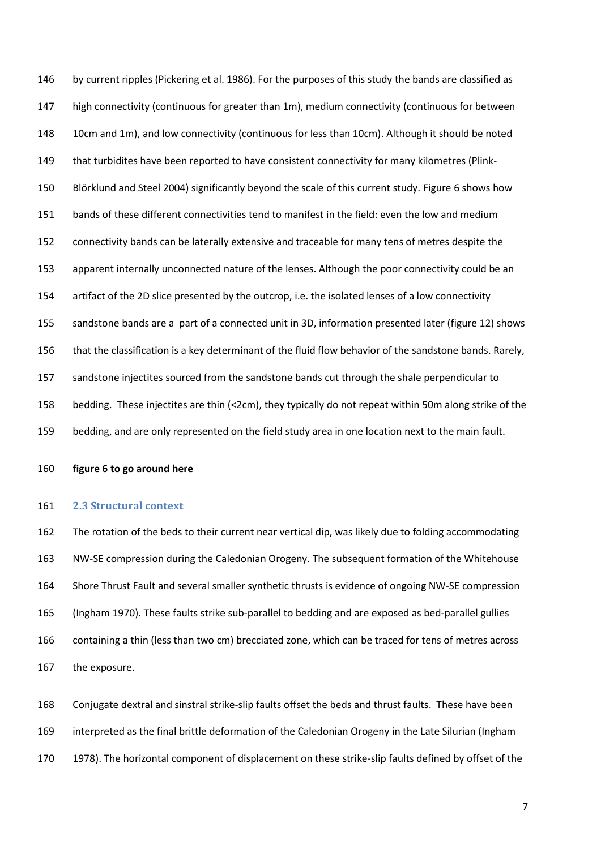by current ripples (Pickering et al. 1986). For the purposes of this study the bands are classified as high connectivity (continuous for greater than 1m), medium connectivity (continuous for between 148 10cm and 1m), and low connectivity (continuous for less than 10cm). Although it should be noted 149 that turbidites have been reported to have consistent connectivity for many kilometres (Plink- Blörklund and Steel 2004) significantly beyond the scale of this current study. Figure 6 shows how bands of these different connectivities tend to manifest in the field: even the low and medium connectivity bands can be laterally extensive and traceable for many tens of metres despite the apparent internally unconnected nature of the lenses. Although the poor connectivity could be an artifact of the 2D slice presented by the outcrop, i.e. the isolated lenses of a low connectivity sandstone bands are a part of a connected unit in 3D, information presented later (figure 12) shows that the classification is a key determinant of the fluid flow behavior of the sandstone bands. Rarely, sandstone injectites sourced from the sandstone bands cut through the shale perpendicular to bedding. These injectites are thin (<2cm), they typically do not repeat within 50m along strike of the bedding, and are only represented on the field study area in one location next to the main fault.

**figure 6 to go around here**

#### **2.3 Structural context**

 The rotation of the beds to their current near vertical dip, was likely due to folding accommodating NW-SE compression during the Caledonian Orogeny. The subsequent formation of the Whitehouse Shore Thrust Fault and several smaller synthetic thrusts is evidence of ongoing NW-SE compression (Ingham 1970). These faults strike sub-parallel to bedding and are exposed as bed-parallel gullies containing a thin (less than two cm) brecciated zone, which can be traced for tens of metres across the exposure.

 Conjugate dextral and sinstral strike-slip faults offset the beds and thrust faults. These have been interpreted as the final brittle deformation of the Caledonian Orogeny in the Late Silurian [\(Ingham](#page-26-0)  [1978\)](#page-26-0). The horizontal component of displacement on these strike-slip faults defined by offset of the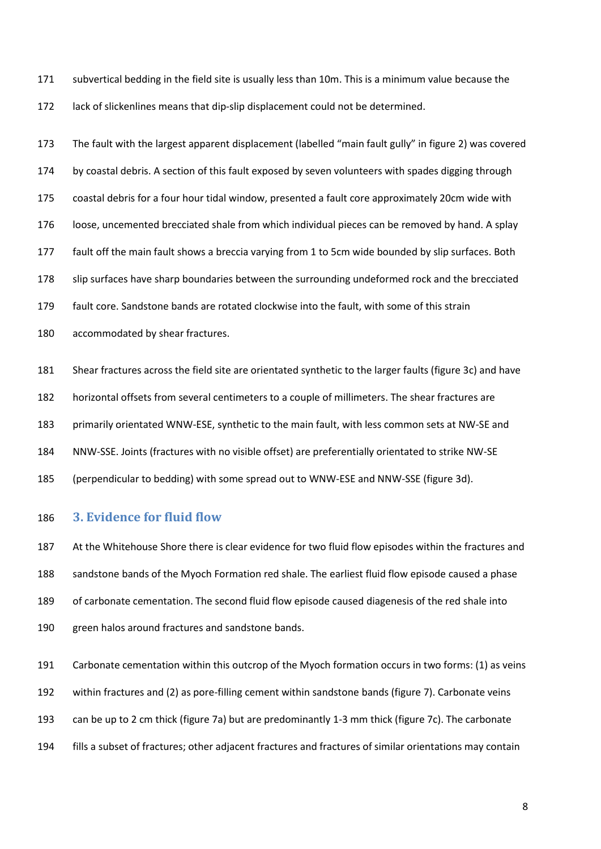subvertical bedding in the field site is usually less than 10m. This is a minimum value because the lack of slickenlines means that dip-slip displacement could not be determined.

 The fault with the largest apparent displacement (labelled "main fault gully" in figure 2) was covered by coastal debris. A section of this fault exposed by seven volunteers with spades digging through coastal debris for a four hour tidal window, presented a fault core approximately 20cm wide with loose, uncemented brecciated shale from which individual pieces can be removed by hand. A splay fault off the main fault shows a breccia varying from 1 to 5cm wide bounded by slip surfaces. Both slip surfaces have sharp boundaries between the surrounding undeformed rock and the brecciated fault core. Sandstone bands are rotated clockwise into the fault, with some of this strain accommodated by shear fractures.

 Shear fractures across the field site are orientated synthetic to the larger faults (figure 3c) and have horizontal offsets from several centimeters to a couple of millimeters. The shear fractures are primarily orientated WNW-ESE, synthetic to the main fault, with less common sets at NW-SE and NNW-SSE. Joints (fractures with no visible offset) are preferentially orientated to strike NW-SE (perpendicular to bedding) with some spread out to WNW-ESE and NNW-SSE (figure 3d).

# **3. Evidence for fluid flow**

 At the Whitehouse Shore there is clear evidence for two fluid flow episodes within the fractures and sandstone bands of the Myoch Formation red shale. The earliest fluid flow episode caused a phase of carbonate cementation. The second fluid flow episode caused diagenesis of the red shale into green halos around fractures and sandstone bands.

Carbonate cementation within this outcrop of the Myoch formation occurs in two forms: (1) as veins

within fractures and (2) as pore-filling cement within sandstone bands (figure 7). Carbonate veins

can be up to 2 cm thick (figure 7a) but are predominantly 1-3 mm thick (figure 7c). The carbonate

fills a subset of fractures; other adjacent fractures and fractures of similar orientations may contain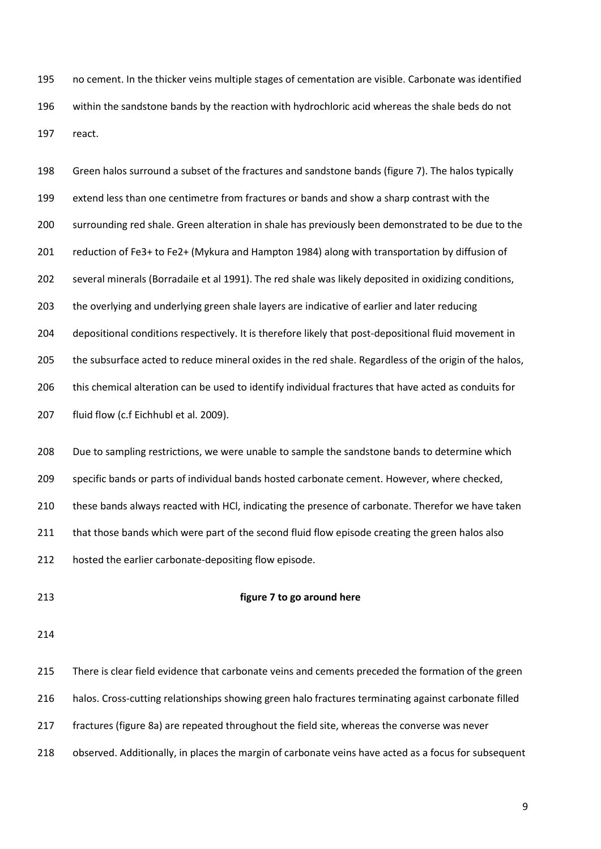no cement. In the thicker veins multiple stages of cementation are visible. Carbonate was identified within the sandstone bands by the reaction with hydrochloric acid whereas the shale beds do not react.

 Green halos surround a subset of the fractures and sandstone bands (figure 7). The halos typically extend less than one centimetre from fractures or bands and show a sharp contrast with the surrounding red shale. Green alteration in shale has previously been demonstrated to be due to the reduction of Fe3+ to Fe2+ (Mykura and Hampton 1984) along with transportation by diffusion of several minerals (Borradaile et al 1991). The red shale was likely deposited in oxidizing conditions, the overlying and underlying green shale layers are indicative of earlier and later reducing depositional conditions respectively. It is therefore likely that post-depositional fluid movement in the subsurface acted to reduce mineral oxides in the red shale. Regardless of the origin of the halos, this chemical alteration can be used to identify individual fractures that have acted as conduits for fluid flow (c.f Eichhubl et al. 2009). 208 Due to sampling restrictions, we were unable to sample the sandstone bands to determine which specific bands or parts of individual bands hosted carbonate cement. However, where checked, these bands always reacted with HCl, indicating the presence of carbonate. Therefor we have taken

211 that those bands which were part of the second fluid flow episode creating the green halos also

hosted the earlier carbonate-depositing flow episode.

#### **figure 7 to go around here**

 There is clear field evidence that carbonate veins and cements preceded the formation of the green halos. Cross-cutting relationships showing green halo fractures terminating against carbonate filled fractures (figure 8a) are repeated throughout the field site, whereas the converse was never observed. Additionally, in places the margin of carbonate veins have acted as a focus for subsequent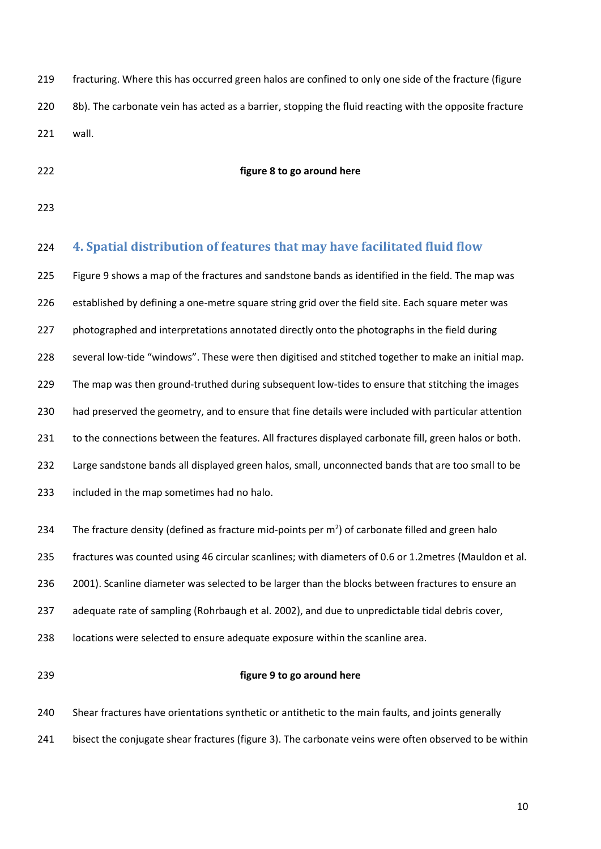- fracturing. Where this has occurred green halos are confined to only one side of the fracture (figure 220 8b). The carbonate vein has acted as a barrier, stopping the fluid reacting with the opposite fracture wall.
- 

#### **figure 8 to go around here**

# **4. Spatial distribution of features that may have facilitated fluid flow**  Figure 9 shows a map of the fractures and sandstone bands as identified in the field. The map was 226 established by defining a one-metre square string grid over the field site. Each square meter was photographed and interpretations annotated directly onto the photographs in the field during several low-tide "windows". These were then digitised and stitched together to make an initial map. The map was then ground-truthed during subsequent low-tides to ensure that stitching the images had preserved the geometry, and to ensure that fine details were included with particular attention 231 to the connections between the features. All fractures displayed carbonate fill, green halos or both. Large sandstone bands all displayed green halos, small, unconnected bands that are too small to be included in the map sometimes had no halo. 234 The fracture density (defined as fracture mid-points per  $m<sup>2</sup>$ ) of carbonate filled and green halo fractures was counted using 46 circular scanlines; with diameters of 0.6 or 1.2metres (Mauldon et al. 2001). Scanline diameter was selected to be larger than the blocks between fractures to ensure an 237 adequate rate of sampling (Rohrbaugh et al. 2002), and due to unpredictable tidal debris cover, locations were selected to ensure adequate exposure within the scanline area. **figure 9 to go around here** Shear fractures have orientations synthetic or antithetic to the main faults, and joints generally bisect the conjugate shear fractures (figure 3). The carbonate veins were often observed to be within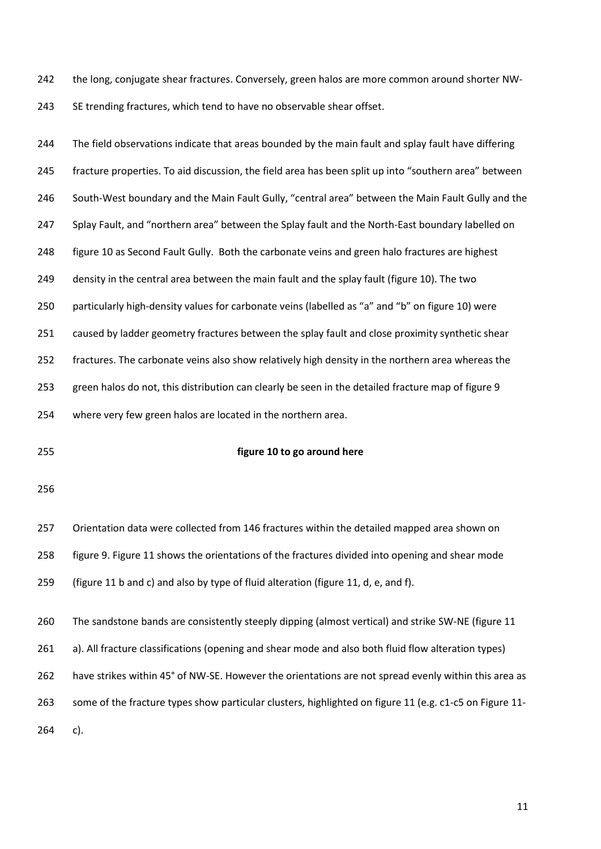the long, conjugate shear fractures. Conversely, green halos are more common around shorter NW-243 SE trending fractures, which tend to have no observable shear offset.

244 The field observations indicate that areas bounded by the main fault and splay fault have differing fracture properties. To aid discussion, the field area has been split up into "southern area" between South-West boundary and the Main Fault Gully, "central area" between the Main Fault Gully and the 247 Splay Fault, and "northern area" between the Splay fault and the North-East boundary labelled on figure 10 as Second Fault Gully. Both the carbonate veins and green halo fractures are highest density in the central area between the main fault and the splay fault (figure 10). The two 250 particularly high-density values for carbonate veins (labelled as "a" and "b" on figure 10) were caused by ladder geometry fractures between the splay fault and close proximity synthetic shear fractures. The carbonate veins also show relatively high density in the northern area whereas the green halos do not, this distribution can clearly be seen in the detailed fracture map of figure 9 where very few green halos are located in the northern area.

#### **figure 10 to go around here**

 Orientation data were collected from 146 fractures within the detailed mapped area shown on figure 9. Figure 11 shows the orientations of the fractures divided into opening and shear mode

(figure 11 b and c) and also by type of fluid alteration (figure 11, d, e, and f).

The sandstone bands are consistently steeply dipping (almost vertical) and strike SW-NE (figure 11

a). All fracture classifications (opening and shear mode and also both fluid flow alteration types)

have strikes within 45° of NW-SE. However the orientations are not spread evenly within this area as

some of the fracture types show particular clusters, highlighted on figure 11 (e.g. c1-c5 on Figure 11-

c).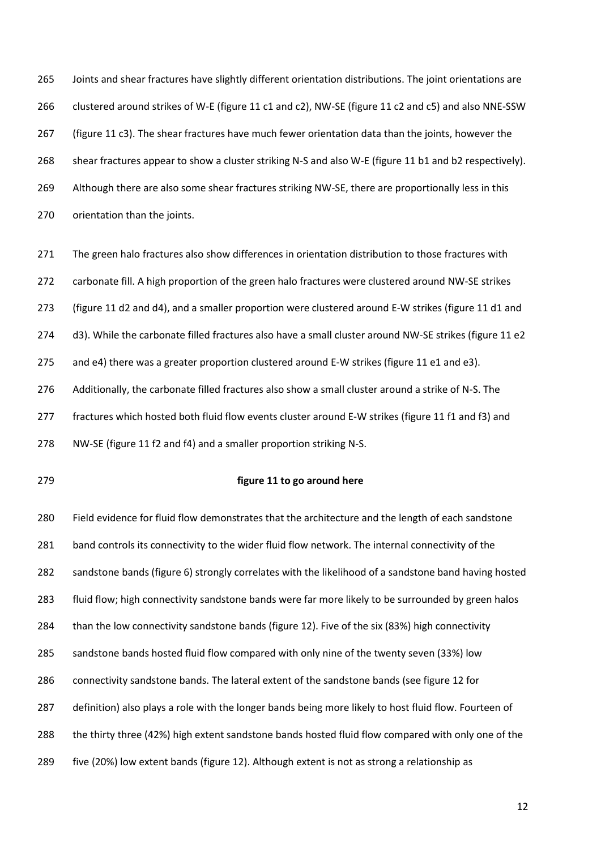Joints and shear fractures have slightly different orientation distributions. The joint orientations are clustered around strikes of W-E (figure 11 c1 and c2), NW-SE (figure 11 c2 and c5) and also NNE-SSW (figure 11 c3). The shear fractures have much fewer orientation data than the joints, however the 268 shear fractures appear to show a cluster striking N-S and also W-E (figure 11 b1 and b2 respectively). 269 Although there are also some shear fractures striking NW-SE, there are proportionally less in this orientation than the joints.

271 The green halo fractures also show differences in orientation distribution to those fractures with 272 carbonate fill. A high proportion of the green halo fractures were clustered around NW-SE strikes (figure 11 d2 and d4), and a smaller proportion were clustered around E-W strikes (figure 11 d1 and 274 d3). While the carbonate filled fractures also have a small cluster around NW-SE strikes (figure 11 e2 275 and e4) there was a greater proportion clustered around E-W strikes (figure 11 e1 and e3). Additionally, the carbonate filled fractures also show a small cluster around a strike of N-S. The fractures which hosted both fluid flow events cluster around E-W strikes (figure 11 f1 and f3) and

NW-SE (figure 11 f2 and f4) and a smaller proportion striking N-S.

## **figure 11 to go around here**

 Field evidence for fluid flow demonstrates that the architecture and the length of each sandstone 281 band controls its connectivity to the wider fluid flow network. The internal connectivity of the sandstone bands (figure 6) strongly correlates with the likelihood of a sandstone band having hosted fluid flow; high connectivity sandstone bands were far more likely to be surrounded by green halos than the low connectivity sandstone bands (figure 12). Five of the six (83%) high connectivity sandstone bands hosted fluid flow compared with only nine of the twenty seven (33%) low connectivity sandstone bands. The lateral extent of the sandstone bands (see figure 12 for definition) also plays a role with the longer bands being more likely to host fluid flow. Fourteen of 288 the thirty three (42%) high extent sandstone bands hosted fluid flow compared with only one of the five (20%) low extent bands (figure 12). Although extent is not as strong a relationship as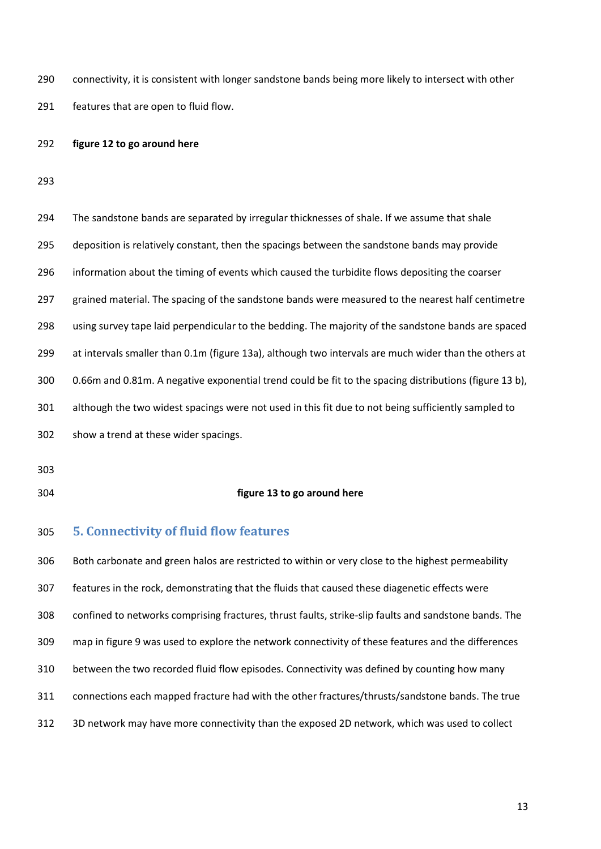connectivity, it is consistent with longer sandstone bands being more likely to intersect with other features that are open to fluid flow.

#### **figure 12 to go around here**

| 294 | The sandstone bands are separated by irregular thicknesses of shale. If we assume that shale           |
|-----|--------------------------------------------------------------------------------------------------------|
| 295 | deposition is relatively constant, then the spacings between the sandstone bands may provide           |
| 296 | information about the timing of events which caused the turbidite flows depositing the coarser         |
| 297 | grained material. The spacing of the sandstone bands were measured to the nearest half centimetre      |
| 298 | using survey tape laid perpendicular to the bedding. The majority of the sandstone bands are spaced    |
| 299 | at intervals smaller than 0.1m (figure 13a), although two intervals are much wider than the others at  |
| 300 | 0.66m and 0.81m. A negative exponential trend could be fit to the spacing distributions (figure 13 b), |
| 301 | although the two widest spacings were not used in this fit due to not being sufficiently sampled to    |
| 302 | show a trend at these wider spacings.                                                                  |
|     |                                                                                                        |

- 
- 

## **figure 13 to go around here**

# **5. Connectivity of fluid flow features**

 Both carbonate and green halos are restricted to within or very close to the highest permeability features in the rock, demonstrating that the fluids that caused these diagenetic effects were confined to networks comprising fractures, thrust faults, strike-slip faults and sandstone bands. The map in figure 9 was used to explore the network connectivity of these features and the differences between the two recorded fluid flow episodes. Connectivity was defined by counting how many connections each mapped fracture had with the other fractures/thrusts/sandstone bands. The true 3D network may have more connectivity than the exposed 2D network, which was used to collect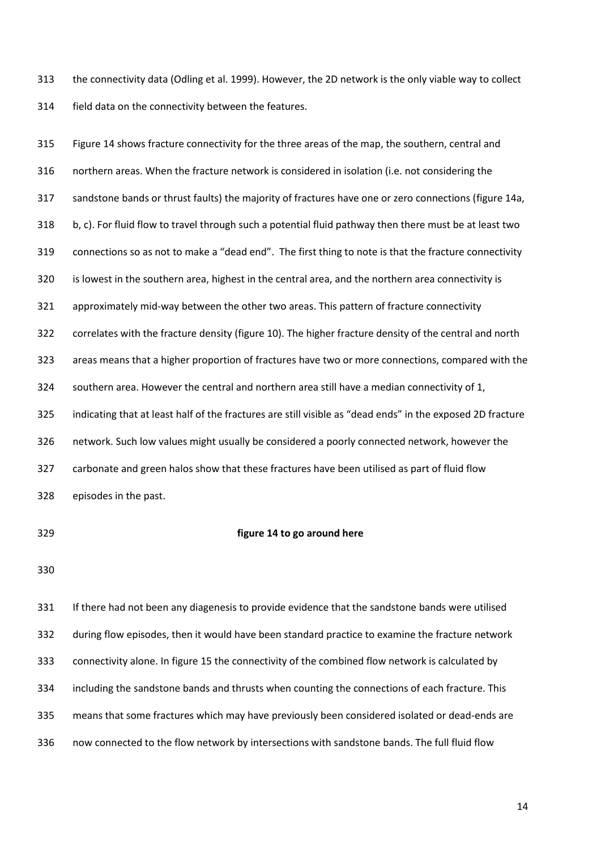the connectivity data (Odling et al. 1999). However, the 2D network is the only viable way to collect field data on the connectivity between the features.

 Figure 14 shows fracture connectivity for the three areas of the map, the southern, central and northern areas. When the fracture network is considered in isolation (i.e. not considering the sandstone bands or thrust faults) the majority of fractures have one or zero connections (figure 14a, b, c). For fluid flow to travel through such a potential fluid pathway then there must be at least two connections so as not to make a "dead end". The first thing to note is that the fracture connectivity is lowest in the southern area, highest in the central area, and the northern area connectivity is approximately mid-way between the other two areas. This pattern of fracture connectivity correlates with the fracture density (figure 10). The higher fracture density of the central and north areas means that a higher proportion of fractures have two or more connections, compared with the southern area. However the central and northern area still have a median connectivity of 1, indicating that at least half of the fractures are still visible as "dead ends" in the exposed 2D fracture network. Such low values might usually be considered a poorly connected network, however the carbonate and green halos show that these fractures have been utilised as part of fluid flow episodes in the past.

#### **figure 14 to go around here**

 If there had not been any diagenesis to provide evidence that the sandstone bands were utilised during flow episodes, then it would have been standard practice to examine the fracture network connectivity alone. In figure 15 the connectivity of the combined flow network is calculated by including the sandstone bands and thrusts when counting the connections of each fracture. This means that some fractures which may have previously been considered isolated or dead-ends are now connected to the flow network by intersections with sandstone bands. The full fluid flow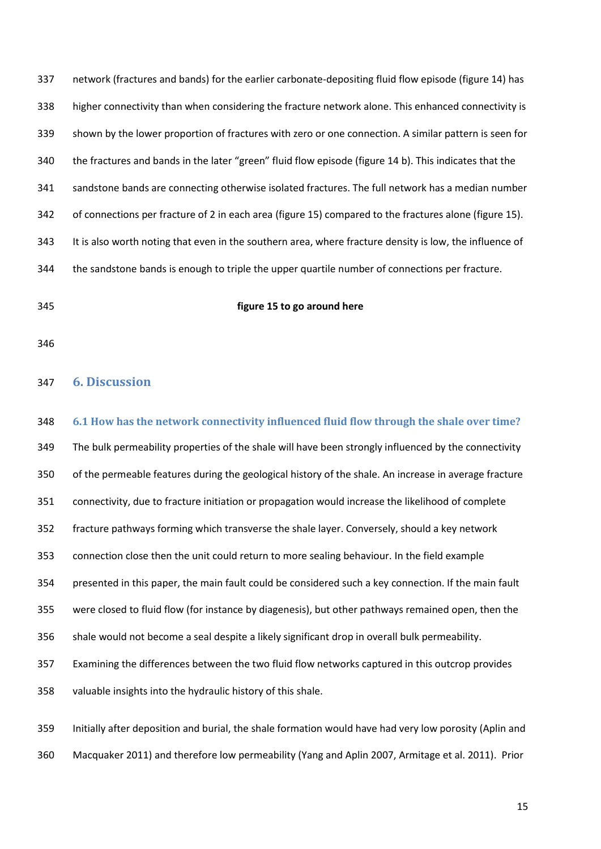network (fractures and bands) for the earlier carbonate-depositing fluid flow episode (figure 14) has higher connectivity than when considering the fracture network alone. This enhanced connectivity is shown by the lower proportion of fractures with zero or one connection. A similar pattern is seen for the fractures and bands in the later "green" fluid flow episode (figure 14 b). This indicates that the sandstone bands are connecting otherwise isolated fractures. The full network has a median number of connections per fracture of 2 in each area (figure 15) compared to the fractures alone (figure 15). It is also worth noting that even in the southern area, where fracture density is low, the influence of the sandstone bands is enough to triple the upper quartile number of connections per fracture.

## **figure 15 to go around here**

# **6. Discussion**

 **6.1 How has the network connectivity influenced fluid flow through the shale over time?**  The bulk permeability properties of the shale will have been strongly influenced by the connectivity of the permeable features during the geological history of the shale. An increase in average fracture connectivity, due to fracture initiation or propagation would increase the likelihood of complete fracture pathways forming which transverse the shale layer. Conversely, should a key network connection close then the unit could return to more sealing behaviour. In the field example presented in this paper, the main fault could be considered such a key connection. If the main fault were closed to fluid flow (for instance by diagenesis), but other pathways remained open, then the shale would not become a seal despite a likely significant drop in overall bulk permeability. Examining the differences between the two fluid flow networks captured in this outcrop provides valuable insights into the hydraulic history of this shale. Initially after deposition and burial, the shale formation would have had very low porosity [\(Aplin and](#page-20-0) 

[Macquaker 2011\)](#page-20-0) and therefore low permeability (Yang and Aplin 2007, Armitage et al. 2011). Prior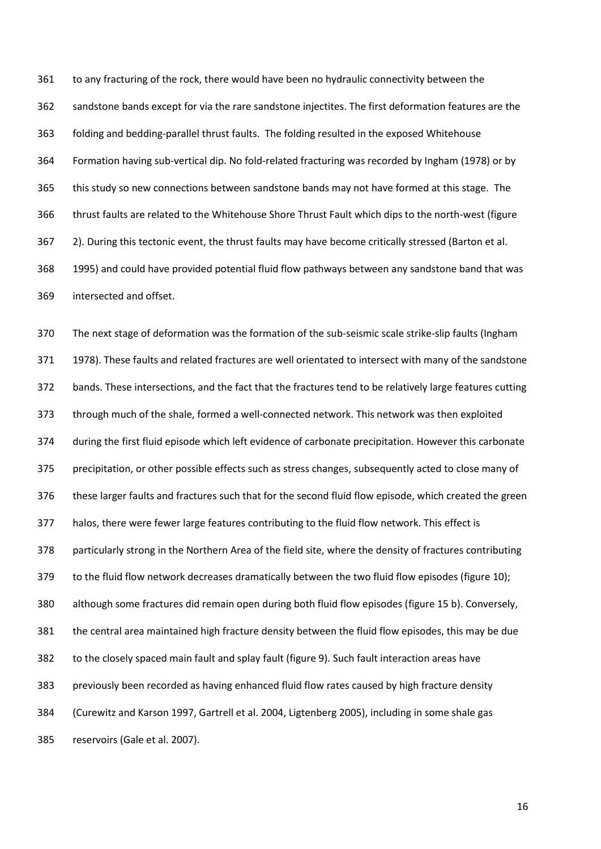to any fracturing of the rock, there would have been no hydraulic connectivity between the sandstone bands except for via the rare sandstone injectites. The first deformation features are the folding and bedding-parallel thrust faults. The folding resulted in the exposed Whitehouse Formation having sub-vertical dip. No fold-related fracturing was recorded by Ingham (1978) or by this study so new connections between sandstone bands may not have formed at this stage. The thrust faults are related to the Whitehouse Shore Thrust Fault which dips to the north-west (figure 2). During this tectonic event, the thrust faults may have become critically stressed (Barton et al. 1995) and could have provided potential fluid flow pathways between any sandstone band that was intersected and offset.

 The next stage of deformation was the formation of the sub-seismic scale strike-slip faults (Ingham 1978). These faults and related fractures are well orientated to intersect with many of the sandstone bands. These intersections, and the fact that the fractures tend to be relatively large features cutting through much of the shale, formed a well-connected network. This network was then exploited during the first fluid episode which left evidence of carbonate precipitation. However this carbonate precipitation, or other possible effects such as stress changes, subsequently acted to close many of these larger faults and fractures such that for the second fluid flow episode, which created the green halos, there were fewer large features contributing to the fluid flow network. This effect is particularly strong in the Northern Area of the field site, where the density of fractures contributing to the fluid flow network decreases dramatically between the two fluid flow episodes (figure 10); although some fractures did remain open during both fluid flow episodes (figure 15 b). Conversely, the central area maintained high fracture density between the fluid flow episodes, this may be due to the closely spaced main fault and splay fault (figure 9). Such fault interaction areas have previously been recorded as having enhanced fluid flow rates caused by high fracture density (Curewitz and Karson 1997, Gartrell et al. 2004, Ligtenberg 2005), including in some shale gas reservoirs (Gale et al. 2007).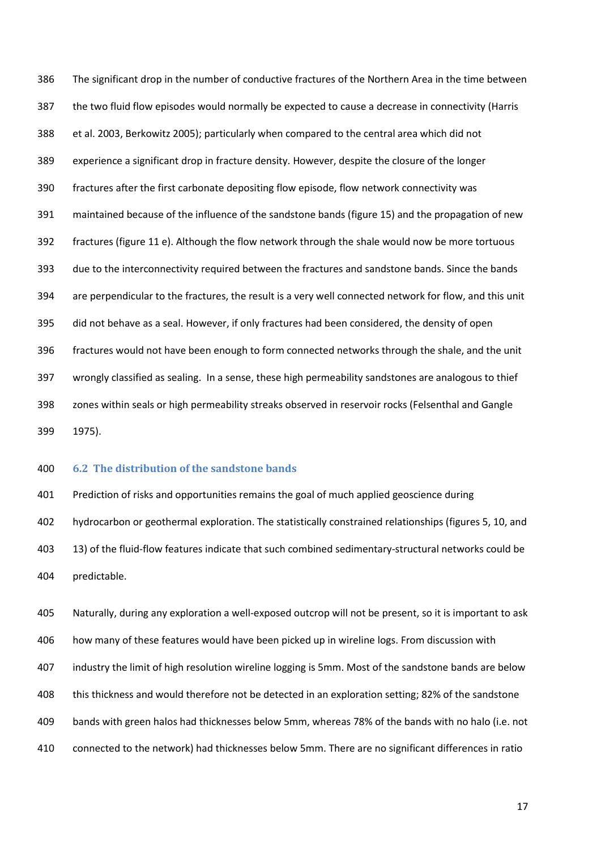The significant drop in the number of conductive fractures of the Northern Area in the time between the two fluid flow episodes would normally be expected to cause a decrease in connectivity (Harris et al. 2003, Berkowitz 2005); particularly when compared to the central area which did not experience a significant drop in fracture density. However, despite the closure of the longer fractures after the first carbonate depositing flow episode, flow network connectivity was maintained because of the influence of the sandstone bands (figure 15) and the propagation of new fractures (figure 11 e). Although the flow network through the shale would now be more tortuous due to the interconnectivity required between the fractures and sandstone bands. Since the bands are perpendicular to the fractures, the result is a very well connected network for flow, and this unit did not behave as a seal. However, if only fractures had been considered, the density of open fractures would not have been enough to form connected networks through the shale, and the unit wrongly classified as sealing. In a sense, these high permeability sandstones are analogous to thief zones within seals or high permeability streaks observed in reservoir rocks (Felsenthal and Gangle 1975).

## **6.2 The distribution of the sandstone bands**

 Prediction of risks and opportunities remains the goal of much applied geoscience during hydrocarbon or geothermal exploration. The statistically constrained relationships (figures 5, 10, and 13) of the fluid-flow features indicate that such combined sedimentary-structural networks could be predictable.

 Naturally, during any exploration a well-exposed outcrop will not be present, so it is important to ask how many of these features would have been picked up in wireline logs. From discussion with industry the limit of high resolution wireline logging is 5mm. Most of the sandstone bands are below this thickness and would therefore not be detected in an exploration setting; 82% of the sandstone bands with green halos had thicknesses below 5mm, whereas 78% of the bands with no halo (i.e. not connected to the network) had thicknesses below 5mm. There are no significant differences in ratio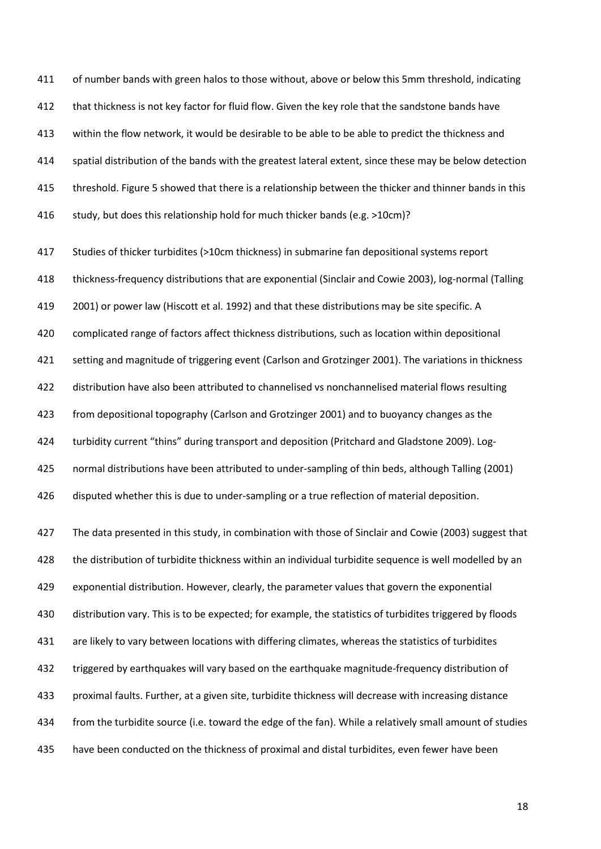411 of number bands with green halos to those without, above or below this 5mm threshold, indicating that thickness is not key factor for fluid flow. Given the key role that the sandstone bands have within the flow network, it would be desirable to be able to be able to predict the thickness and 414 spatial distribution of the bands with the greatest lateral extent, since these may be below detection threshold. Figure 5 showed that there is a relationship between the thicker and thinner bands in this study, but does this relationship hold for much thicker bands (e.g. >10cm)?

 Studies of thicker turbidites (>10cm thickness) in submarine fan depositional systems report thickness-frequency distributions that are exponential (Sinclair and Cowie 2003), log-normal (Talling 2001) or power law (Hiscott et al. 1992) and that these distributions may be site specific. A complicated range of factors affect thickness distributions, such as location within depositional setting and magnitude of triggering event (Carlson and [Grotzinger 2001\)](#page-22-0). The variations in thickness distribution have also been attributed to channelised vs nonchannelised material flows resulting from depositional topography [\(Carlson and Grotzinger 2001\)](#page-22-0) and to buoyancy changes as the turbidity current "thins" during transport and deposition (Pritchard and Gladstone 2009). Log- normal distributions have been attributed to under-sampling of thin beds, although Talling (2001) disputed whether this is due to under-sampling or a true reflection of material deposition.

 The data presented in this study, in combination with those of Sinclair and Cowie (2003) suggest that the distribution of turbidite thickness within an individual turbidite sequence is well modelled by an exponential distribution. However, clearly, the parameter values that govern the exponential distribution vary. This is to be expected; for example, the statistics of turbidites triggered by floods are likely to vary between locations with differing climates, whereas the statistics of turbidites triggered by earthquakes will vary based on the earthquake magnitude-frequency distribution of proximal faults. Further, at a given site, turbidite thickness will decrease with increasing distance from the turbidite source (i.e. toward the edge of the fan). While a relatively small amount of studies have been conducted on the thickness of proximal and distal turbidites, even fewer have been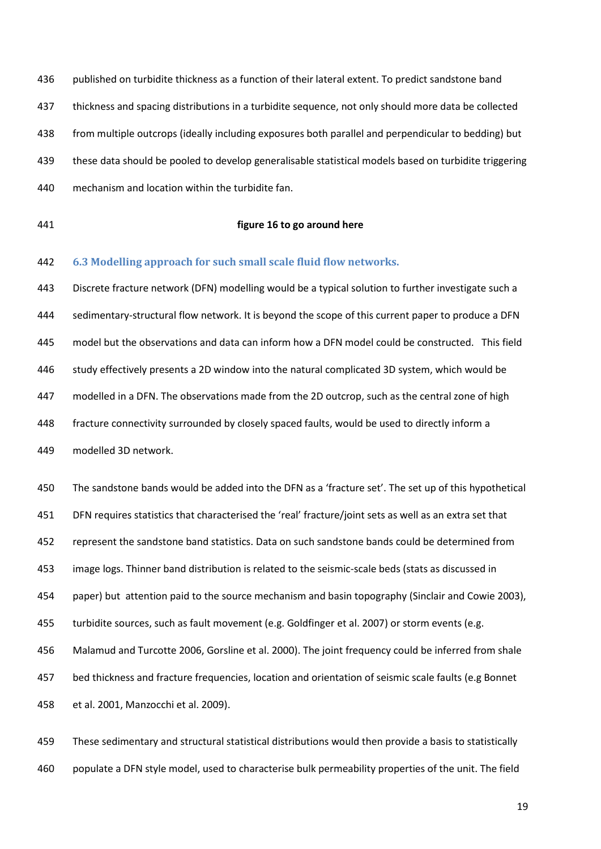published on turbidite thickness as a function of their lateral extent. To predict sandstone band thickness and spacing distributions in a turbidite sequence, not only should more data be collected from multiple outcrops (ideally including exposures both parallel and perpendicular to bedding) but these data should be pooled to develop generalisable statistical models based on turbidite triggering mechanism and location within the turbidite fan.

## **figure 16 to go around here**

**6.3 Modelling approach for such small scale fluid flow networks.**

 Discrete fracture network (DFN) modelling would be a typical solution to further investigate such a sedimentary-structural flow network. It is beyond the scope of this current paper to produce a DFN model but the observations and data can inform how a DFN model could be constructed. This field study effectively presents a 2D window into the natural complicated 3D system, which would be modelled in a DFN. The observations made from the 2D outcrop, such as the central zone of high fracture connectivity surrounded by closely spaced faults, would be used to directly inform a modelled 3D network.

 The sandstone bands would be added into the DFN as a 'fracture set'. The set up of this hypothetical DFN requires statistics that characterised the 'real' fracture/joint sets as well as an extra set that represent the sandstone band statistics. Data on such sandstone bands could be determined from image logs. Thinner band distribution is related to the seismic-scale beds (stats as discussed in paper) but attention paid to the source mechanism and basin topography (Sinclair and Cowie 2003), turbidite sources, such as fault movement (e.g. Goldfinger et al. 2007) or storm events (e.g. Malamud and Turcotte 2006, Gorsline et al. 2000). The joint frequency could be inferred from shale bed thickness and fracture frequencies, location and orientation of seismic scale faults (e.g Bonnet et al. 2001, Manzocchi et al. 2009).

 These sedimentary and structural statistical distributions would then provide a basis to statistically populate a DFN style model, used to characterise bulk permeability properties of the unit. The field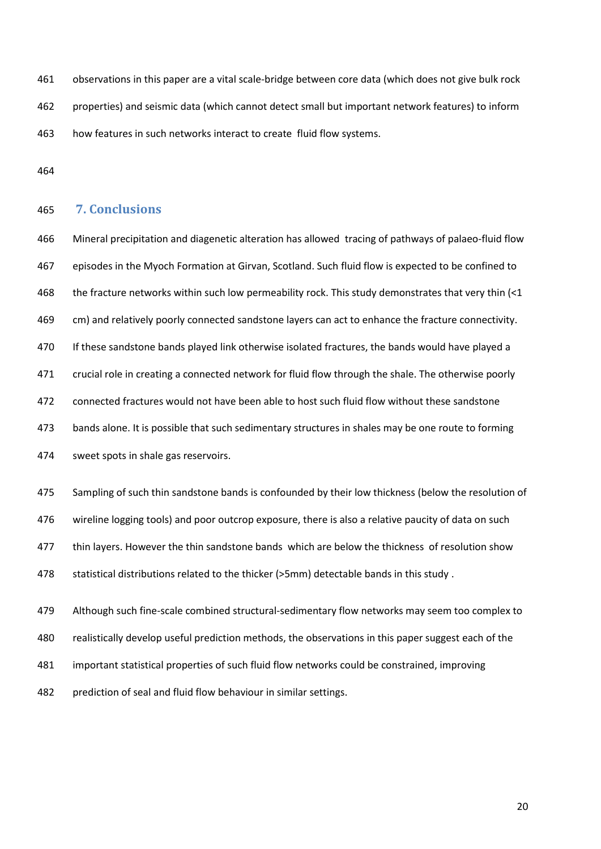observations in this paper are a vital scale-bridge between core data (which does not give bulk rock properties) and seismic data (which cannot detect small but important network features) to inform how features in such networks interact to create fluid flow systems.

# **7. Conclusions**

 Mineral precipitation and diagenetic alteration has allowed tracing of pathways of palaeo-fluid flow episodes in the Myoch Formation at Girvan, Scotland. Such fluid flow is expected to be confined to 468 the fracture networks within such low permeability rock. This study demonstrates that very thin (<1 cm) and relatively poorly connected sandstone layers can act to enhance the fracture connectivity. If these sandstone bands played link otherwise isolated fractures, the bands would have played a crucial role in creating a connected network for fluid flow through the shale. The otherwise poorly connected fractures would not have been able to host such fluid flow without these sandstone bands alone. It is possible that such sedimentary structures in shales may be one route to forming sweet spots in shale gas reservoirs.

 Sampling of such thin sandstone bands is confounded by their low thickness (below the resolution of wireline logging tools) and poor outcrop exposure, there is also a relative paucity of data on such 477 thin layers. However the thin sandstone bands which are below the thickness of resolution show statistical distributions related to the thicker (>5mm) detectable bands in this study .

 Although such fine-scale combined structural-sedimentary flow networks may seem too complex to realistically develop useful prediction methods, the observations in this paper suggest each of the important statistical properties of such fluid flow networks could be constrained, improving prediction of seal and fluid flow behaviour in similar settings.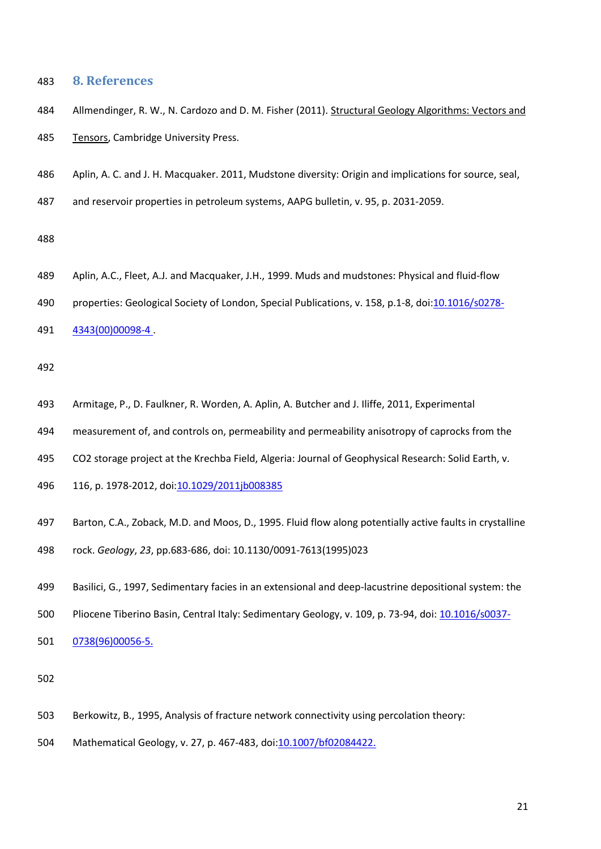## **8. References**

- Allmendinger, R. W., N. Cardozo and D. M. Fisher (2011). Structural Geology Algorithms: Vectors and 485 Tensors, Cambridge University Press.
- <span id="page-20-0"></span>Aplin, A. C. and J. H. Macquaker. 2011, Mudstone diversity: Origin and implications for source, seal,
- and reservoir properties in petroleum systems, AAPG bulletin, v. 95, p. 2031-2059.

- Aplin, A.C., Fleet, A.J. and Macquaker, J.H., 1999. Muds and mudstones: Physical and fluid-flow
- 490 properties: Geological Society of London, Special Publications, v. 158, p.1-8, doi[:10.1016/s0278-](http://dx.doi.org/10.1016/s0278-4343%2800%2900098-4)
- [4343\(00\)00098-4 .](http://dx.doi.org/10.1016/s0278-4343%2800%2900098-4)

- Armitage, P., D. Faulkner, R. Worden, A. Aplin, A. Butcher and J. Iliffe, 2011, Experimental
- measurement of, and controls on, permeability and permeability anisotropy of caprocks from the
- CO2 storage project at the Krechba Field, Algeria: Journal of Geophysical Research: Solid Earth, v.
- 116, p. 1978-2012, doi[:10.1029/2011jb008385](http://dx.doi.org/10.1029/2011jb008385)
- Barton, C.A., Zoback, M.D. and Moos, D., 1995. Fluid flow along potentially active faults in crystalline
- rock. *Geology*, *23*, pp.683-686, doi: 10.1130/0091-7613(1995)023
- Basilici, G., 1997, Sedimentary facies in an extensional and deep-lacustrine depositional system: the
- Pliocene Tiberino Basin, Central Italy: Sedimentary Geology, v. 109, p. 73-94, doi: [10.1016/s0037-](http://dx.doi.org/10.1016/s0037-0738%2896%2900056-5)
- [0738\(96\)00056-5.](http://dx.doi.org/10.1016/s0037-0738%2896%2900056-5)

- Berkowitz, B., 1995, Analysis of fracture network connectivity using percolation theory:
- Mathematical Geology, v. 27, p. 467-483, doi[:10.1007/bf02084422.](http://dx.doi.org/10.1007/bf02084422)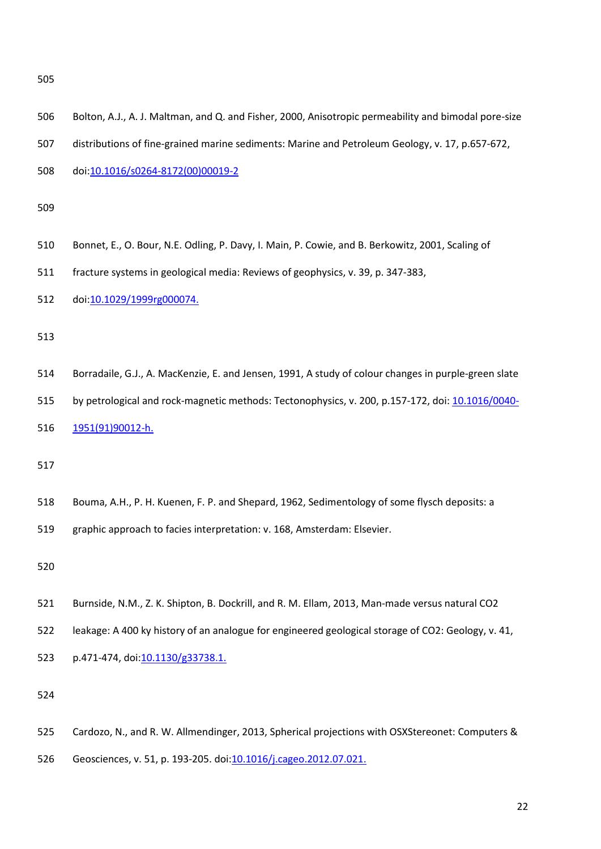| 506 | Bolton, A.J., A.J. Maltman, and Q. and Fisher, 2000, Anisotropic permeability and bimodal pore-size  |  |  |  |
|-----|------------------------------------------------------------------------------------------------------|--|--|--|
| 507 | distributions of fine-grained marine sediments: Marine and Petroleum Geology, v. 17, p.657-672,      |  |  |  |
| 508 | doi:10.1016/s0264-8172(00)00019-2                                                                    |  |  |  |
| 509 |                                                                                                      |  |  |  |
| 510 | Bonnet, E., O. Bour, N.E. Odling, P. Davy, I. Main, P. Cowie, and B. Berkowitz, 2001, Scaling of     |  |  |  |
| 511 | fracture systems in geological media: Reviews of geophysics, v. 39, p. 347-383,                      |  |  |  |
| 512 | doi:10.1029/1999rg000074.                                                                            |  |  |  |
| 513 |                                                                                                      |  |  |  |
| 514 | Borradaile, G.J., A. MacKenzie, E. and Jensen, 1991, A study of colour changes in purple-green slate |  |  |  |
| 515 | by petrological and rock-magnetic methods: Tectonophysics, v. 200, p.157-172, doi: 10.1016/0040-     |  |  |  |
| 516 | 1951(91)90012-h.                                                                                     |  |  |  |
| 517 |                                                                                                      |  |  |  |
| 518 | Bouma, A.H., P. H. Kuenen, F. P. and Shepard, 1962, Sedimentology of some flysch deposits: a         |  |  |  |
| 519 | graphic approach to facies interpretation: v. 168, Amsterdam: Elsevier.                              |  |  |  |
| 520 |                                                                                                      |  |  |  |
| 521 | Burnside, N.M., Z. K. Shipton, B. Dockrill, and R. M. Ellam, 2013, Man-made versus natural CO2       |  |  |  |
| 522 | leakage: A 400 ky history of an analogue for engineered geological storage of CO2: Geology, v. 41,   |  |  |  |
| 523 | p.471-474, doi:10.1130/g33738.1.                                                                     |  |  |  |
| 524 |                                                                                                      |  |  |  |
| 525 | Cardozo, N., and R. W. Allmendinger, 2013, Spherical projections with OSXStereonet: Computers &      |  |  |  |
| 526 | Geosciences, v. 51, p. 193-205. doi:10.1016/j.cageo.2012.07.021.                                     |  |  |  |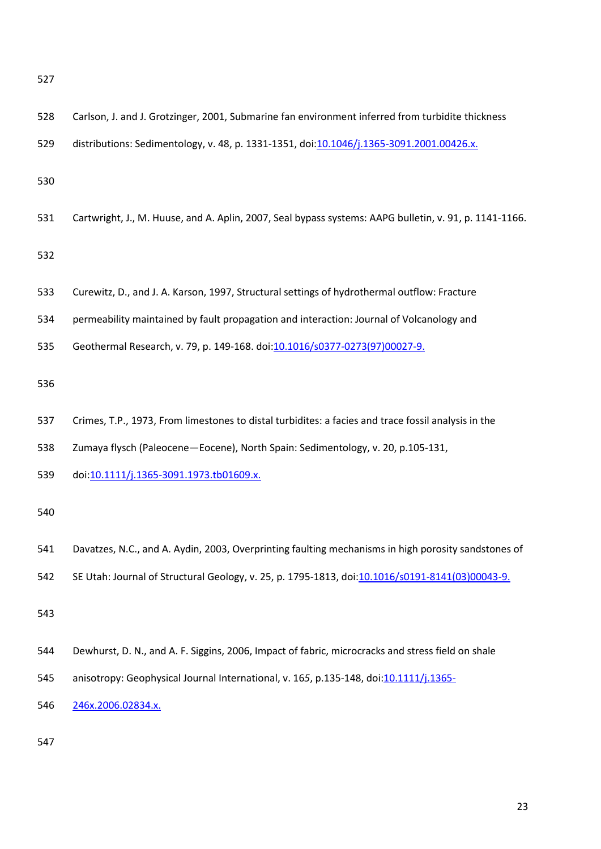<span id="page-22-0"></span>

| 528 | Carlson, J. and J. Grotzinger, 2001, Submarine fan environment inferred from turbidite thickness       |
|-----|--------------------------------------------------------------------------------------------------------|
| 529 | distributions: Sedimentology, v. 48, p. 1331-1351, doi:10.1046/j.1365-3091.2001.00426.x.               |
| 530 |                                                                                                        |
| 531 | Cartwright, J., M. Huuse, and A. Aplin, 2007, Seal bypass systems: AAPG bulletin, v. 91, p. 1141-1166. |
| 532 |                                                                                                        |
| 533 | Curewitz, D., and J. A. Karson, 1997, Structural settings of hydrothermal outflow: Fracture            |
| 534 | permeability maintained by fault propagation and interaction: Journal of Volcanology and               |
| 535 | Geothermal Research, v. 79, p. 149-168. doi:10.1016/s0377-0273(97)00027-9.                             |
| 536 |                                                                                                        |
| 537 | Crimes, T.P., 1973, From limestones to distal turbidites: a facies and trace fossil analysis in the    |
| 538 | Zumaya flysch (Paleocene-Eocene), North Spain: Sedimentology, v. 20, p.105-131,                        |
| 539 | doi:10.1111/j.1365-3091.1973.tb01609.x.                                                                |
| 540 |                                                                                                        |
| 541 | Davatzes, N.C., and A. Aydin, 2003, Overprinting faulting mechanisms in high porosity sandstones of    |
| 542 | SE Utah: Journal of Structural Geology, v. 25, p. 1795-1813, doi:10.1016/s0191-8141(03)00043-9.        |
| 543 |                                                                                                        |
| 544 | Dewhurst, D. N., and A. F. Siggins, 2006, Impact of fabric, microcracks and stress field on shale      |
| 545 | anisotropy: Geophysical Journal International, v. 165, p.135-148, doi:10.1111/j.1365-                  |
| 546 | 246x.2006.02834.x.                                                                                     |
| 547 |                                                                                                        |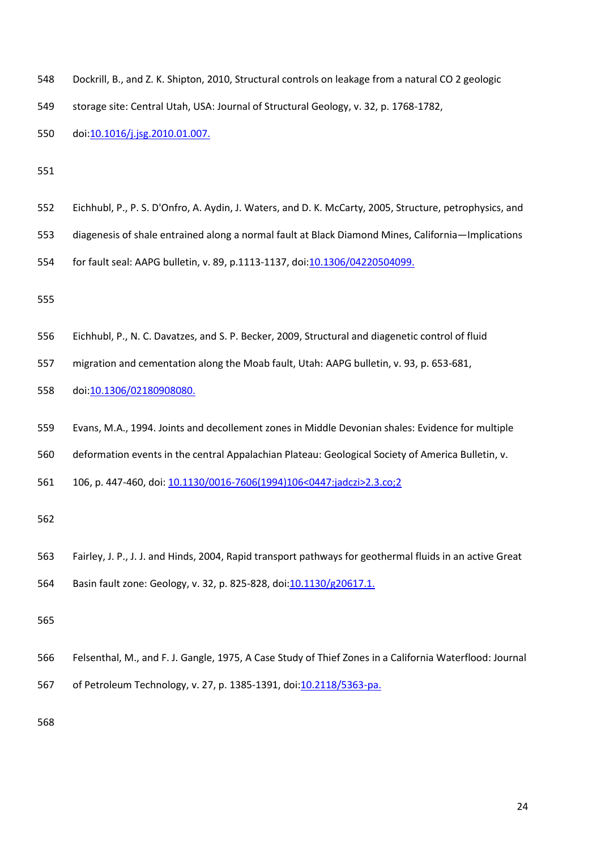| 548 | Dockrill, B., and Z. K. Shipton, 2010, Structural controls on leakage from a natural CO 2 geologic       |  |  |
|-----|----------------------------------------------------------------------------------------------------------|--|--|
| 549 | storage site: Central Utah, USA: Journal of Structural Geology, v. 32, p. 1768-1782,                     |  |  |
| 550 | doi:10.1016/j.jsg.2010.01.007.                                                                           |  |  |
| 551 |                                                                                                          |  |  |
| 552 | Eichhubl, P., P. S. D'Onfro, A. Aydin, J. Waters, and D. K. McCarty, 2005, Structure, petrophysics, and  |  |  |
| 553 | diagenesis of shale entrained along a normal fault at Black Diamond Mines, California-Implications       |  |  |
| 554 | for fault seal: AAPG bulletin, v. 89, p.1113-1137, doi:10.1306/04220504099.                              |  |  |
| 555 |                                                                                                          |  |  |
| 556 | Eichhubl, P., N. C. Davatzes, and S. P. Becker, 2009, Structural and diagenetic control of fluid         |  |  |
| 557 | migration and cementation along the Moab fault, Utah: AAPG bulletin, v. 93, p. 653-681,                  |  |  |
| 558 | doi:10.1306/02180908080.                                                                                 |  |  |
| 559 | Evans, M.A., 1994. Joints and decollement zones in Middle Devonian shales: Evidence for multiple         |  |  |
| 560 | deformation events in the central Appalachian Plateau: Geological Society of America Bulletin, v.        |  |  |
| 561 | 106, p. 447-460, doi: 10.1130/0016-7606(1994)106<0447:jadczi>2.3.co;2                                    |  |  |
| 562 |                                                                                                          |  |  |
| 563 | Fairley, J. P., J. J. and Hinds, 2004, Rapid transport pathways for geothermal fluids in an active Great |  |  |
| 564 | Basin fault zone: Geology, v. 32, p. 825-828, doi:10.1130/g20617.1.                                      |  |  |
| 565 |                                                                                                          |  |  |
| 566 | Felsenthal, M., and F. J. Gangle, 1975, A Case Study of Thief Zones in a California Waterflood: Journal  |  |  |
| 567 | of Petroleum Technology, v. 27, p. 1385-1391, doi:10.2118/5363-pa.                                       |  |  |
| 568 |                                                                                                          |  |  |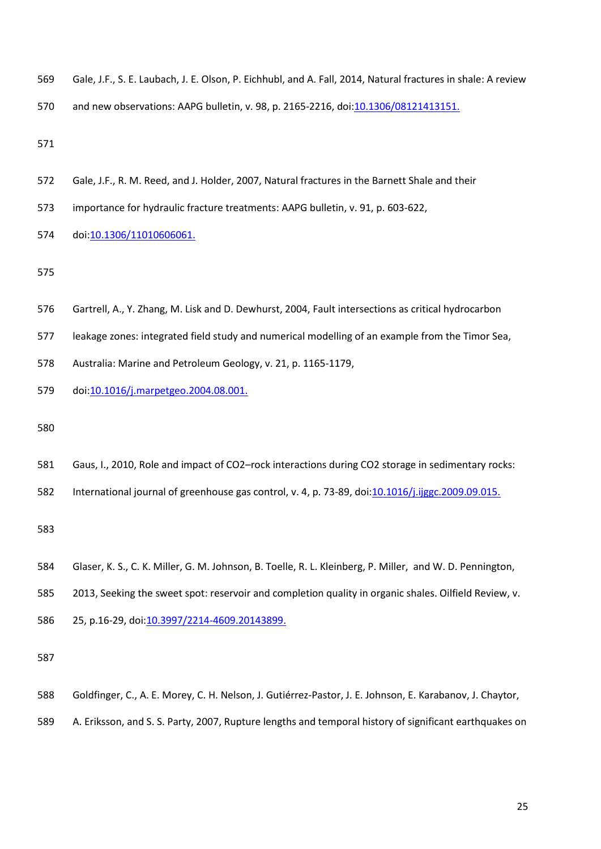|  |  |  |  | 569 Gale, J.F., S. E. Laubach, J. E. Olson, P. Eichhubl, and A. Fall, 2014, Natural fractures in shale: A review |
|--|--|--|--|------------------------------------------------------------------------------------------------------------------|
|--|--|--|--|------------------------------------------------------------------------------------------------------------------|

and new observations: AAPG bulletin, v. 98, p. 2165-2216, doi[:10.1306/08121413151.](http://dx.doi.org/10.1306/08121413151) 

- Gale, J.F., R. M. Reed, and J. Holder, 2007, Natural fractures in the Barnett Shale and their
- importance for hydraulic fracture treatments: AAPG bulletin, v. 91, p. 603-622,
- 574 doi:10.1306/11010606061.

- Gartrell, A., Y. Zhang, M. Lisk and D. Dewhurst, 2004, Fault intersections as critical hydrocarbon
- leakage zones: integrated field study and numerical modelling of an example from the Timor Sea,
- Australia: Marine and Petroleum Geology, v. 21, p. 1165-1179,
- 579 doi: 10.1016/j.marpetgeo. 2004. 08. 001.
- 
- Gaus, I., 2010, Role and impact of CO2–rock interactions during CO2 storage in sedimentary rocks:
- International journal of greenhouse gas control, v. 4, p. 73-89, doi[:10.1016/j.ijggc.2009.09.015.](http://dx.doi.org/10.1016/j.ijggc.2009.09.015)

- Glaser, K. S., C. K. Miller, G. M. Johnson, B. Toelle, R. L. Kleinberg, P. Miller, and W. D. Pennington,
- 2013, Seeking the sweet spot: reservoir and completion quality in organic shales. Oilfield Review, v.
- 586 25, p.16-29, doi: 10.3997/2214-4609.20143899.

- Goldfinger, C., A. E. Morey, C. H. Nelson, J. Gutiérrez-Pastor, J. E. Johnson, E. Karabanov, J. Chaytor,
- A. Eriksson, and S. S. Party, 2007, Rupture lengths and temporal history of significant earthquakes on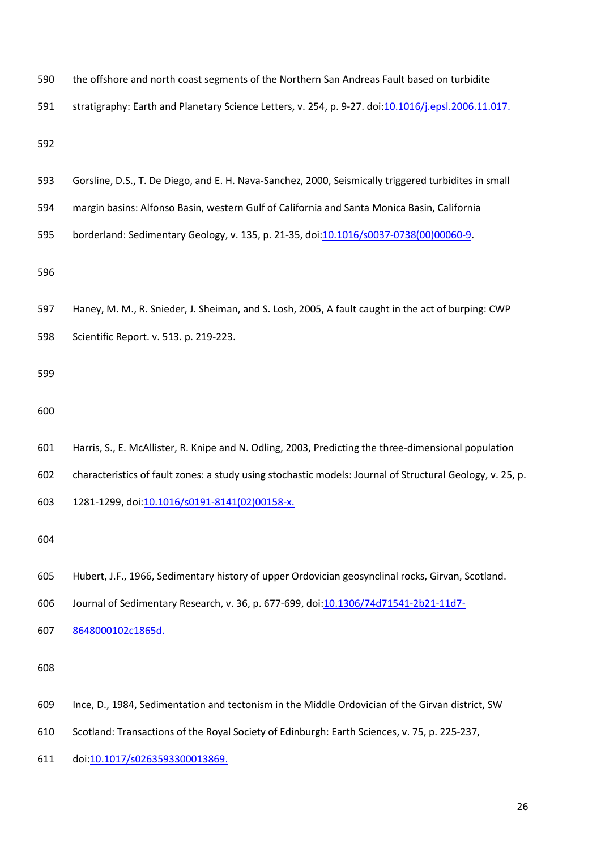| 590 | the offshore and north coast segments of the Northern San Andreas Fault based on turbidite                |  |  |  |
|-----|-----------------------------------------------------------------------------------------------------------|--|--|--|
| 591 | stratigraphy: Earth and Planetary Science Letters, v. 254, p. 9-27. doi:10.1016/j.epsl.2006.11.017.       |  |  |  |
| 592 |                                                                                                           |  |  |  |
| 593 | Gorsline, D.S., T. De Diego, and E. H. Nava-Sanchez, 2000, Seismically triggered turbidites in small      |  |  |  |
| 594 | margin basins: Alfonso Basin, western Gulf of California and Santa Monica Basin, California               |  |  |  |
| 595 | borderland: Sedimentary Geology, v. 135, p. 21-35, doi:10.1016/s0037-0738(00)00060-9.                     |  |  |  |
| 596 |                                                                                                           |  |  |  |
| 597 | Haney, M. M., R. Snieder, J. Sheiman, and S. Losh, 2005, A fault caught in the act of burping: CWP        |  |  |  |
| 598 | Scientific Report. v. 513. p. 219-223.                                                                    |  |  |  |
| 599 |                                                                                                           |  |  |  |
| 600 |                                                                                                           |  |  |  |
| 601 | Harris, S., E. McAllister, R. Knipe and N. Odling, 2003, Predicting the three-dimensional population      |  |  |  |
| 602 | characteristics of fault zones: a study using stochastic models: Journal of Structural Geology, v. 25, p. |  |  |  |
| 603 | 1281-1299, doi:10.1016/s0191-8141(02)00158-x.                                                             |  |  |  |
| 604 |                                                                                                           |  |  |  |
| 605 | Hubert, J.F., 1966, Sedimentary history of upper Ordovician geosynclinal rocks, Girvan, Scotland.         |  |  |  |
| 606 | Journal of Sedimentary Research, v. 36, p. 677-699, doi:10.1306/74d71541-2b21-11d7-                       |  |  |  |
| 607 | 8648000102c1865d.                                                                                         |  |  |  |
| 608 |                                                                                                           |  |  |  |
| 609 | Ince, D., 1984, Sedimentation and tectonism in the Middle Ordovician of the Girvan district, SW           |  |  |  |
| 610 | Scotland: Transactions of the Royal Society of Edinburgh: Earth Sciences, v. 75, p. 225-237,              |  |  |  |
| 611 | doi:10.1017/s0263593300013869.                                                                            |  |  |  |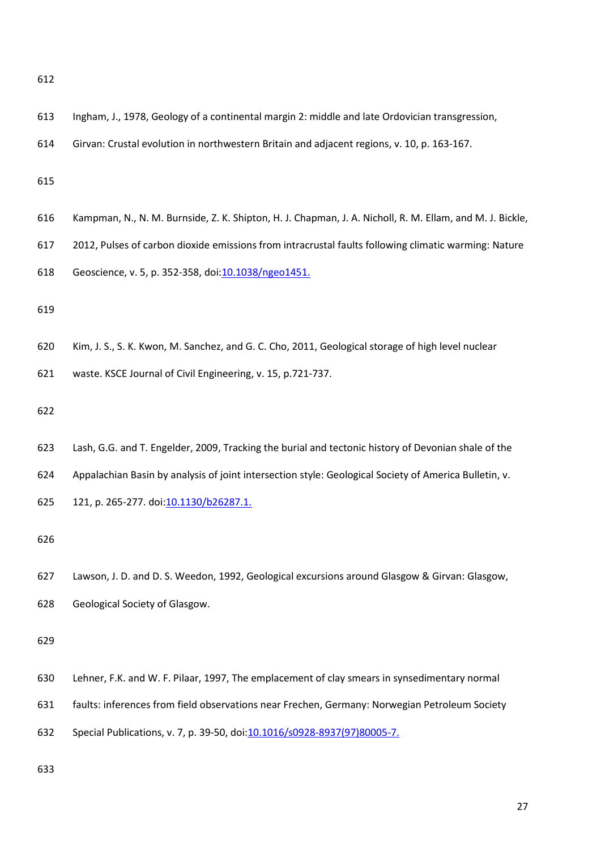| ٠                 | ۰. |
|-------------------|----|
| ×<br>I<br>×<br>۰, |    |

<span id="page-26-0"></span>

| 613 | Ingham, J., 1978, Geology of a continental margin 2: middle and late Ordovician transgression,           |
|-----|----------------------------------------------------------------------------------------------------------|
| 614 | Girvan: Crustal evolution in northwestern Britain and adjacent regions, v. 10, p. 163-167.               |
| 615 |                                                                                                          |
| 616 | Kampman, N., N. M. Burnside, Z. K. Shipton, H. J. Chapman, J. A. Nicholl, R. M. Ellam, and M. J. Bickle, |
| 617 | 2012, Pulses of carbon dioxide emissions from intracrustal faults following climatic warming: Nature     |
| 618 | Geoscience, v. 5, p. 352-358, doi: 10.1038/ngeo1451.                                                     |
| 619 |                                                                                                          |
| 620 | Kim, J. S., S. K. Kwon, M. Sanchez, and G. C. Cho, 2011, Geological storage of high level nuclear        |
| 621 | waste. KSCE Journal of Civil Engineering, v. 15, p.721-737.                                              |
| 622 |                                                                                                          |
| 623 | Lash, G.G. and T. Engelder, 2009, Tracking the burial and tectonic history of Devonian shale of the      |
| 624 | Appalachian Basin by analysis of joint intersection style: Geological Society of America Bulletin, v.    |
| 625 | 121, p. 265-277. doi:10.1130/b26287.1.                                                                   |
| 626 |                                                                                                          |
| 627 | Lawson, J. D. and D. S. Weedon, 1992, Geological excursions around Glasgow & Girvan: Glasgow,            |
| 628 | Geological Society of Glasgow.                                                                           |
| 629 |                                                                                                          |
| 630 | Lehner, F.K. and W. F. Pilaar, 1997, The emplacement of clay smears in synsedimentary normal             |
| 631 | faults: inferences from field observations near Frechen, Germany: Norwegian Petroleum Society            |
| 632 | Special Publications, v. 7, p. 39-50, doi: 10.1016/s0928-8937(97)80005-7.                                |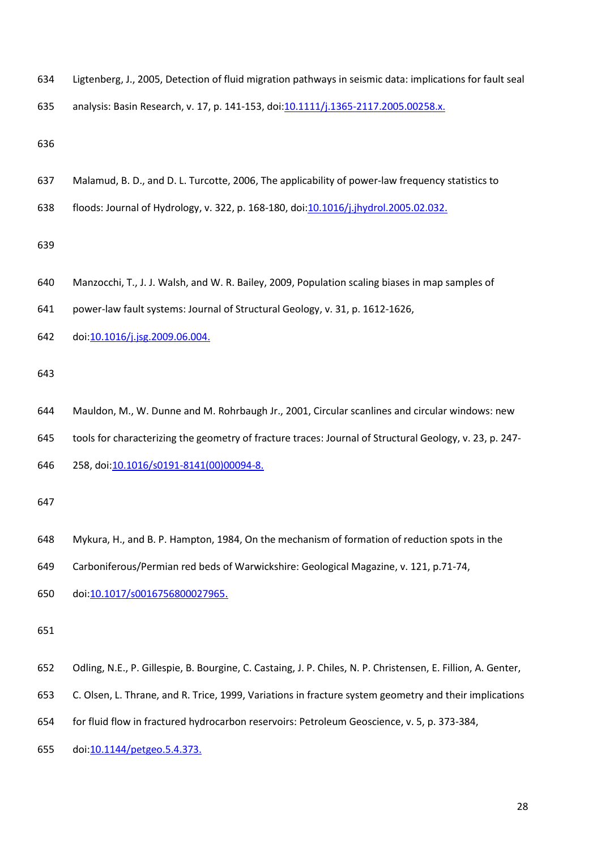| 634 | Ligtenberg, J., 2005, Detection of fluid migration pathways in seismic data: implications for fault sea |  |  |  |  |  |  |
|-----|---------------------------------------------------------------------------------------------------------|--|--|--|--|--|--|
|-----|---------------------------------------------------------------------------------------------------------|--|--|--|--|--|--|

analysis: Basin Research, v. 17, p. 141-153, doi[:10.1111/j.1365-2117.2005.00258.x.](http://dx.doi.org/10.1111/j.1365-2117.2005.00258.x) 

- Malamud, B. D., and D. L. Turcotte, 2006, The applicability of power-law frequency statistics to
- floods: Journal of Hydrology, v. 322, p. 168-180, doi[:10.1016/j.jhydrol.2005.02.032.](http://dx.doi.org/10.1016/j.jhydrol.2005.02.032)

- Manzocchi, T., J. J. Walsh, and W. R. Bailey, 2009, Population scaling biases in map samples of
- power-law fault systems: Journal of Structural Geology, v. 31, p. 1612-1626,
- 642 doi:<u>10.1016/j.jsg.2009.06.004.</u>

- Mauldon, M., W. Dunne and M. Rohrbaugh Jr., 2001, Circular scanlines and circular windows: new
- tools for characterizing the geometry of fracture traces: Journal of Structural Geology, v. 23, p. 247-
- 258, doi[:10.1016/s0191-8141\(00\)00094-8.](http://dx.doi.org/10.1016/s0191-8141%2800%2900094-8)

- Mykura, H., and B. P. Hampton, 1984, On the mechanism of formation of reduction spots in the
- Carboniferous/Permian red beds of Warwickshire: Geological Magazine, v. 121, p.71-74,
- doi[:10.1017/s0016756800027965.](http://dx.doi.org/10.1017/s0016756800027965)

- Odling, N.E., P. Gillespie, B. Bourgine, C. Castaing, J. P. Chiles, N. P. Christensen, E. Fillion, A. Genter,
- C. Olsen, L. Thrane, and R. Trice, 1999, Variations in fracture system geometry and their implications
- for fluid flow in fractured hydrocarbon reservoirs: Petroleum Geoscience, v. 5, p. 373-384,
- doi[:10.1144/petgeo.5.4.373.](http://dx.doi.org/10.1144/petgeo.5.4.373)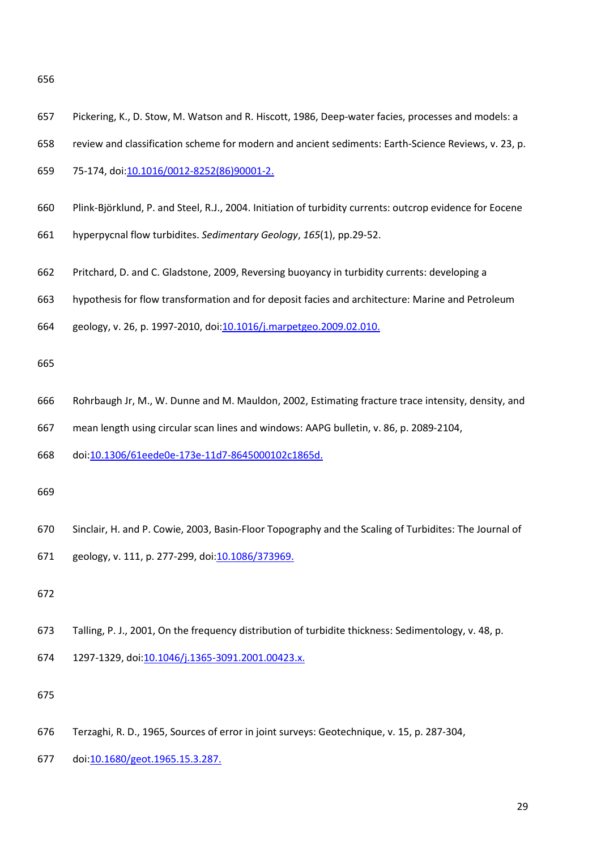| v<br>I<br>۰.<br>×<br>×<br>۰.<br>v<br>w | v<br>I<br>×<br>×<br>۰, |
|----------------------------------------|------------------------|
|----------------------------------------|------------------------|

| 657 | Pickering, K., D. Stow, M. Watson and R. Hiscott, 1986, Deep-water facies, processes and models: a       |
|-----|----------------------------------------------------------------------------------------------------------|
| 658 | review and classification scheme for modern and ancient sediments: Earth-Science Reviews, v. 23, p.      |
| 659 | 75-174, doi: 10.1016/0012-8252(86)90001-2.                                                               |
| 660 | Plink-Björklund, P. and Steel, R.J., 2004. Initiation of turbidity currents: outcrop evidence for Eocene |
| 661 | hyperpycnal flow turbidites. Sedimentary Geology, 165(1), pp.29-52.                                      |
| 662 | Pritchard, D. and C. Gladstone, 2009, Reversing buoyancy in turbidity currents: developing a             |
| 663 | hypothesis for flow transformation and for deposit facies and architecture: Marine and Petroleum         |
| 664 | geology, v. 26, p. 1997-2010, doi:10.1016/j.marpetgeo.2009.02.010.                                       |
| 665 |                                                                                                          |
| 666 | Rohrbaugh Jr, M., W. Dunne and M. Mauldon, 2002, Estimating fracture trace intensity, density, and       |
| 667 | mean length using circular scan lines and windows: AAPG bulletin, v. 86, p. 2089-2104,                   |
| 668 | doi:10.1306/61eede0e-173e-11d7-8645000102c1865d.                                                         |
| 669 |                                                                                                          |
| 670 | Sinclair, H. and P. Cowie, 2003, Basin-Floor Topography and the Scaling of Turbidites: The Journal of    |
| 671 | geology, v. 111, p. 277-299, doi: 10.1086/373969.                                                        |
| 672 |                                                                                                          |
| 673 | Talling, P. J., 2001, On the frequency distribution of turbidite thickness: Sedimentology, v. 48, p.     |
| 674 | 1297-1329, doi:10.1046/j.1365-3091.2001.00423.x.                                                         |
| 675 |                                                                                                          |

- Terzaghi, R. D., 1965, Sources of error in joint surveys: Geotechnique, v. 15, p. 287-304,
- 677 doi: 10.1680/geot.1965.15.3.287.